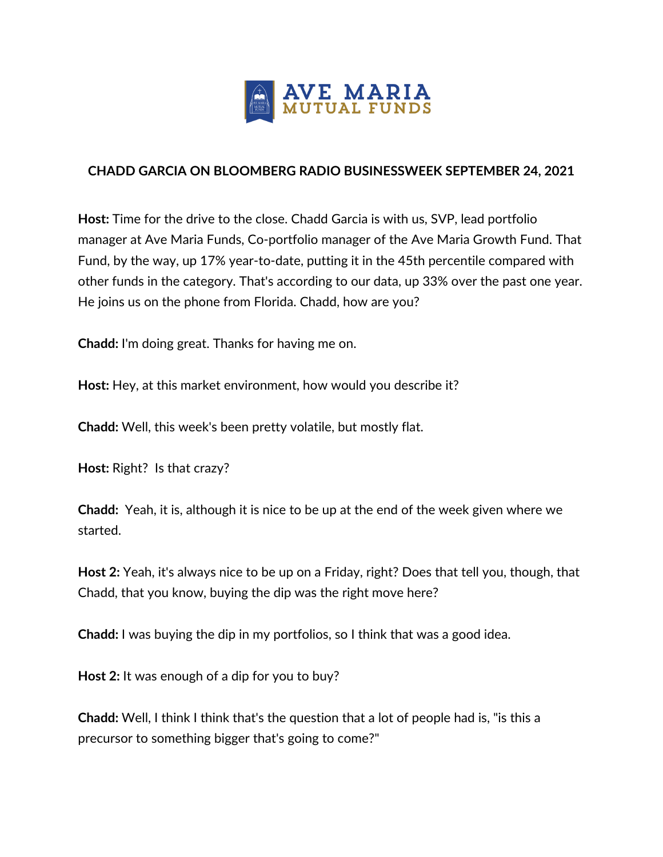

## **CHADD GARCIA ON BLOOMBERG RADIO BUSINESSWEEK SEPTEMBER 24, 2021**

**Host:** Time for the drive to the close. Chadd Garcia is with us, SVP, lead portfolio manager at Ave Maria Funds, Co-portfolio manager of the Ave Maria Growth Fund. That Fund, by the way, up 17% year-to-date, putting it in the 45th percentile compared with other funds in the category. That's according to our data, up 33% over the past one year. He joins us on the phone from Florida. Chadd, how are you?

**Chadd:** I'm doing great. Thanks for having me on.

**Host:** Hey, at this market environment, how would you describe it?

**Chadd:** Well, this week's been pretty volatile, but mostly flat.

**Host:** Right? Is that crazy?

**Chadd:** Yeah, it is, although it is nice to be up at the end of the week given where we started.

**Host 2:** Yeah, it's always nice to be up on a Friday, right? Does that tell you, though, that Chadd, that you know, buying the dip was the right move here?

**Chadd:** I was buying the dip in my portfolios, so I think that was a good idea.

**Host 2:** It was enough of a dip for you to buy?

**Chadd:** Well, I think I think that's the question that a lot of people had is, "is this a precursor to something bigger that's going to come?"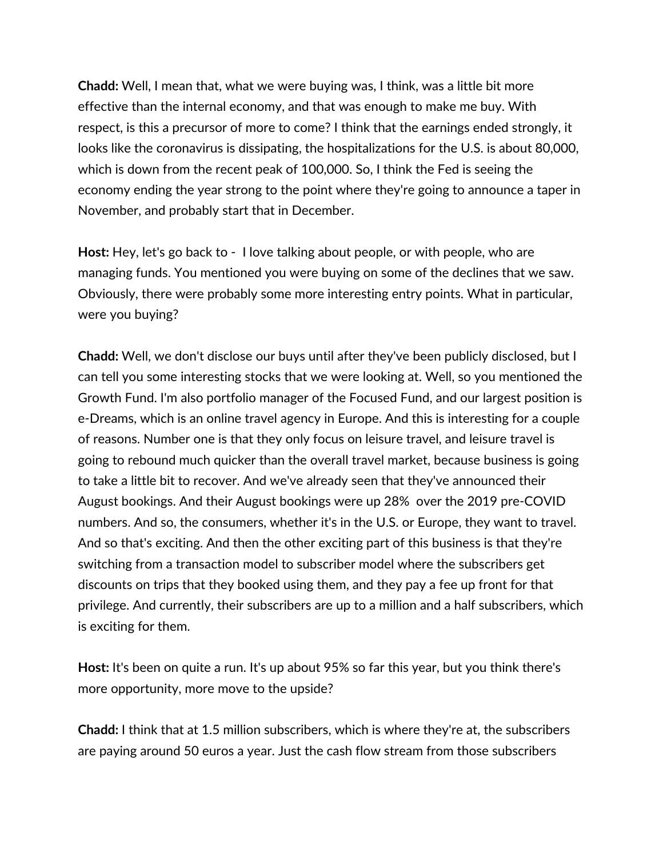**Chadd:** Well, I mean that, what we were buying was, I think, was a little bit more effective than the internal economy, and that was enough to make me buy. With respect, is this a precursor of more to come? I think that the earnings ended strongly, it looks like the coronavirus is dissipating, the hospitalizations for the U.S. is about 80,000, which is down from the recent peak of 100,000. So, I think the Fed is seeing the economy ending the year strong to the point where they're going to announce a taper in November, and probably start that in December.

**Host:** Hey, let's go back to - I love talking about people, or with people, who are managing funds. You mentioned you were buying on some of the declines that we saw. Obviously, there were probably some more interesting entry points. What in particular, were you buying?

**Chadd:** Well, we don't disclose our buys until after they've been publicly disclosed, but I can tell you some interesting stocks that we were looking at. Well, so you mentioned the Growth Fund. I'm also portfolio manager of the Focused Fund, and our largest position is e-Dreams, which is an online travel agency in Europe. And this is interesting for a couple of reasons. Number one is that they only focus on leisure travel, and leisure travel is going to rebound much quicker than the overall travel market, because business is going to take a little bit to recover. And we've already seen that they've announced their August bookings. And their August bookings were up 28% over the 2019 pre-COVID numbers. And so, the consumers, whether it's in the U.S. or Europe, they want to travel. And so that's exciting. And then the other exciting part of this business is that they're switching from a transaction model to subscriber model where the subscribers get discounts on trips that they booked using them, and they pay a fee up front for that privilege. And currently, their subscribers are up to a million and a half subscribers, which is exciting for them.

**Host:** It's been on quite a run. It's up about 95% so far this year, but you think there's more opportunity, more move to the upside?

**Chadd:** I think that at 1.5 million subscribers, which is where they're at, the subscribers are paying around 50 euros a year. Just the cash flow stream from those subscribers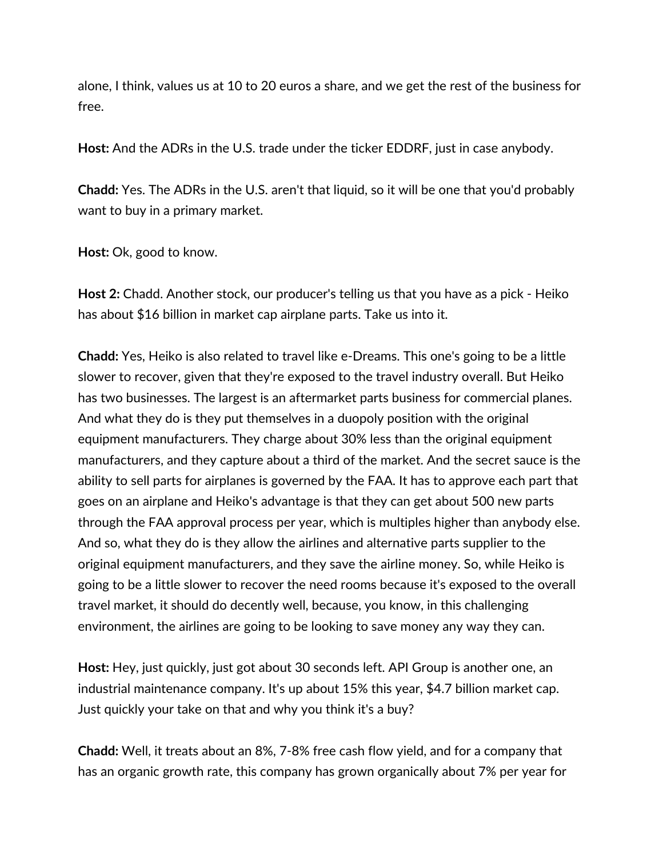alone, I think, values us at 10 to 20 euros a share, and we get the rest of the business for free.

**Host:** And the ADRs in the U.S. trade under the ticker EDDRF, just in case anybody.

**Chadd:** Yes. The ADRs in the U.S. aren't that liquid, so it will be one that you'd probably want to buy in a primary market.

**Host:** Ok, good to know.

**Host 2:** Chadd. Another stock, our producer's telling us that you have as a pick - Heiko has about \$16 billion in market cap airplane parts. Take us into it.

**Chadd:** Yes, Heiko is also related to travel like e-Dreams. This one's going to be a little slower to recover, given that they're exposed to the travel industry overall. But Heiko has two businesses. The largest is an aftermarket parts business for commercial planes. And what they do is they put themselves in a duopoly position with the original equipment manufacturers. They charge about 30% less than the original equipment manufacturers, and they capture about a third of the market. And the secret sauce is the ability to sell parts for airplanes is governed by the FAA. It has to approve each part that goes on an airplane and Heiko's advantage is that they can get about 500 new parts through the FAA approval process per year, which is multiples higher than anybody else. And so, what they do is they allow the airlines and alternative parts supplier to the original equipment manufacturers, and they save the airline money. So, while Heiko is going to be a little slower to recover the need rooms because it's exposed to the overall travel market, it should do decently well, because, you know, in this challenging environment, the airlines are going to be looking to save money any way they can.

**Host:** Hey, just quickly, just got about 30 seconds left. API Group is another one, an industrial maintenance company. It's up about 15% this year, \$4.7 billion market cap. Just quickly your take on that and why you think it's a buy?

**Chadd:** Well, it treats about an 8%, 7-8% free cash flow yield, and for a company that has an organic growth rate, this company has grown organically about 7% per year for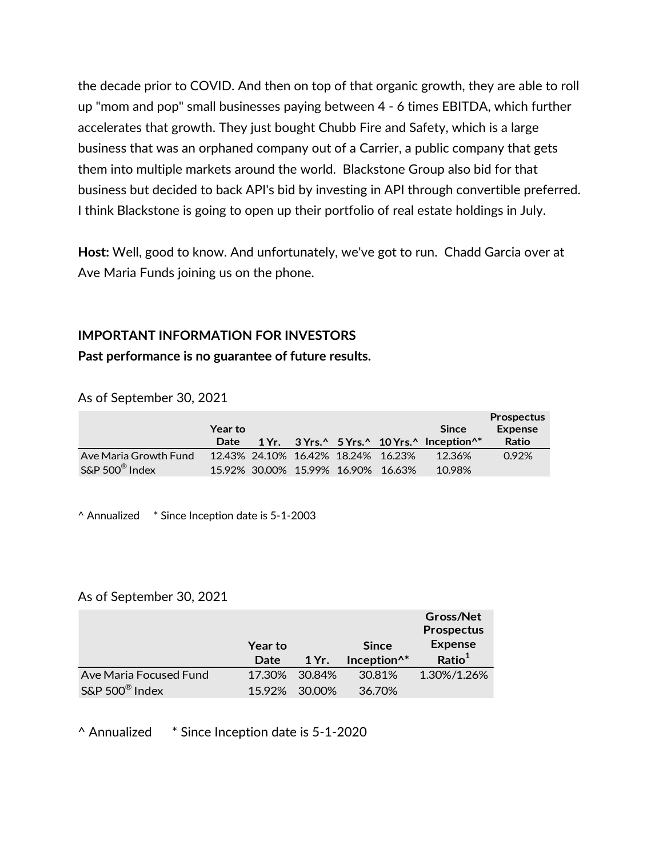the decade prior to COVID. And then on top of that organic growth, they are able to roll up "mom and pop" small businesses paying between 4 - 6 times EBITDA, which further accelerates that growth. They just bought Chubb Fire and Safety, which is a large business that was an orphaned company out of a Carrier, a public company that gets them into multiple markets around the world. Blackstone Group also bid for that business but decided to back API's bid by investing in API through convertible preferred. I think Blackstone is going to open up their portfolio of real estate holdings in July.

**Host:** Well, good to know. And unfortunately, we've got to run. Chadd Garcia over at Ave Maria Funds joining us on the phone.

## **IMPORTANT INFORMATION FOR INVESTORS Past performance is no guarantee of future results.**

As of September 30, 2021

|                            | Year to |  |                                    |                                    | <b>Since</b>                                                                                     | <b>Prospectus</b><br><b>Expense</b> |
|----------------------------|---------|--|------------------------------------|------------------------------------|--------------------------------------------------------------------------------------------------|-------------------------------------|
|                            | Date    |  |                                    |                                    | 1 Yr. $3Yrs.^{\wedge} 5Yrs.^{\wedge} 10Yrs.^{\wedge}$ Inception <sup><math>\wedge^*</math></sup> | Ratio                               |
| Ave Maria Growth Fund      |         |  | 12.43% 24.10% 16.42% 18.24% 16.23% |                                    | 12.36%                                                                                           | 0.92%                               |
| S&P 500 <sup>®</sup> Index |         |  |                                    | 15.92% 30.00% 15.99% 16.90% 16.63% | 10.98%                                                                                           |                                     |

^ Annualized \* Since Inception date is 5-1-2003

## As of September 30, 2021

|                            | <b>Year to</b> |        | <b>Since</b>            | Gross/Net<br>Prospectus<br><b>Expense</b> |
|----------------------------|----------------|--------|-------------------------|-------------------------------------------|
|                            | Date           | 1 Yr.  | Inception <sup>^*</sup> | Ratio <sup>1</sup>                        |
| Ave Maria Focused Fund     | 17.30%         | 30.84% | 30.81%                  | 1.30%/1.26%                               |
| S&P 500 <sup>®</sup> Index |                |        |                         |                                           |

^ Annualized \* Since Inception date is 5-1-2020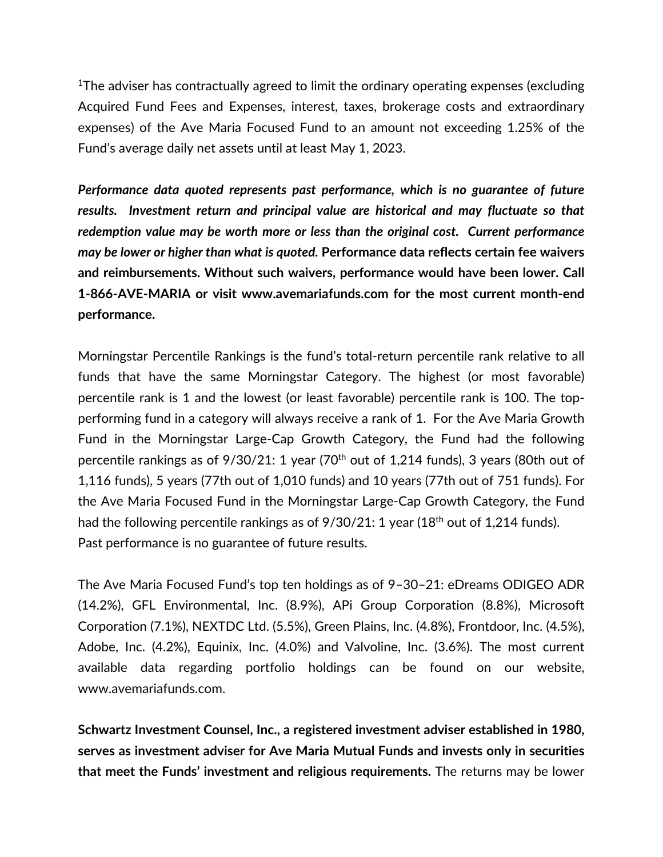<sup>1</sup>The adviser has contractually agreed to limit the ordinary operating expenses (excluding Acquired Fund Fees and Expenses, interest, taxes, brokerage costs and extraordinary expenses) of the Ave Maria Focused Fund to an amount not exceeding 1.25% of the Fund's average daily net assets until at least May 1, 2023.

*Performance data quoted represents past performance, which is no guarantee of future results. Investment return and principal value are historical and may fluctuate so that redemption value may be worth more or less than the original cost. Current performance may be lower or higher than what is quoted.* **Performance data reflects certain fee waivers and reimbursements. Without such waivers, performance would have been lower. Call 1-866-AVE-MARIA or visit www.avemariafunds.com for the most current month-end performance.**

Morningstar Percentile Rankings is the fund's total-return percentile rank relative to all funds that have the same Morningstar Category. The highest (or most favorable) percentile rank is 1 and the lowest (or least favorable) percentile rank is 100. The topperforming fund in a category will always receive a rank of 1. For the Ave Maria Growth Fund in the Morningstar Large-Cap Growth Category, the Fund had the following percentile rankings as of  $9/30/21$ : 1 year (70<sup>th</sup> out of 1,214 funds), 3 years (80th out of 1,116 funds), 5 years (77th out of 1,010 funds) and 10 years (77th out of 751 funds). For the Ave Maria Focused Fund in the Morningstar Large-Cap Growth Category, the Fund had the following percentile rankings as of  $9/30/21$ : 1 year (18<sup>th</sup> out of 1,214 funds). Past performance is no guarantee of future results.

The Ave Maria Focused Fund's top ten holdings as of 9–30–21: eDreams ODIGEO ADR (14.2%), GFL Environmental, Inc. (8.9%), APi Group Corporation (8.8%), Microsoft Corporation (7.1%), NEXTDC Ltd. (5.5%), Green Plains, Inc. (4.8%), Frontdoor, Inc. (4.5%), Adobe, Inc. (4.2%), Equinix, Inc. (4.0%) and Valvoline, Inc. (3.6%). The most current available data regarding portfolio holdings can be found on our website, www.avemariafunds.com.

**Schwartz Investment Counsel, Inc., a registered investment adviser established in 1980, serves as investment adviser for Ave Maria Mutual Funds and invests only in securities that meet the Funds' investment and religious requirements.** The returns may be lower